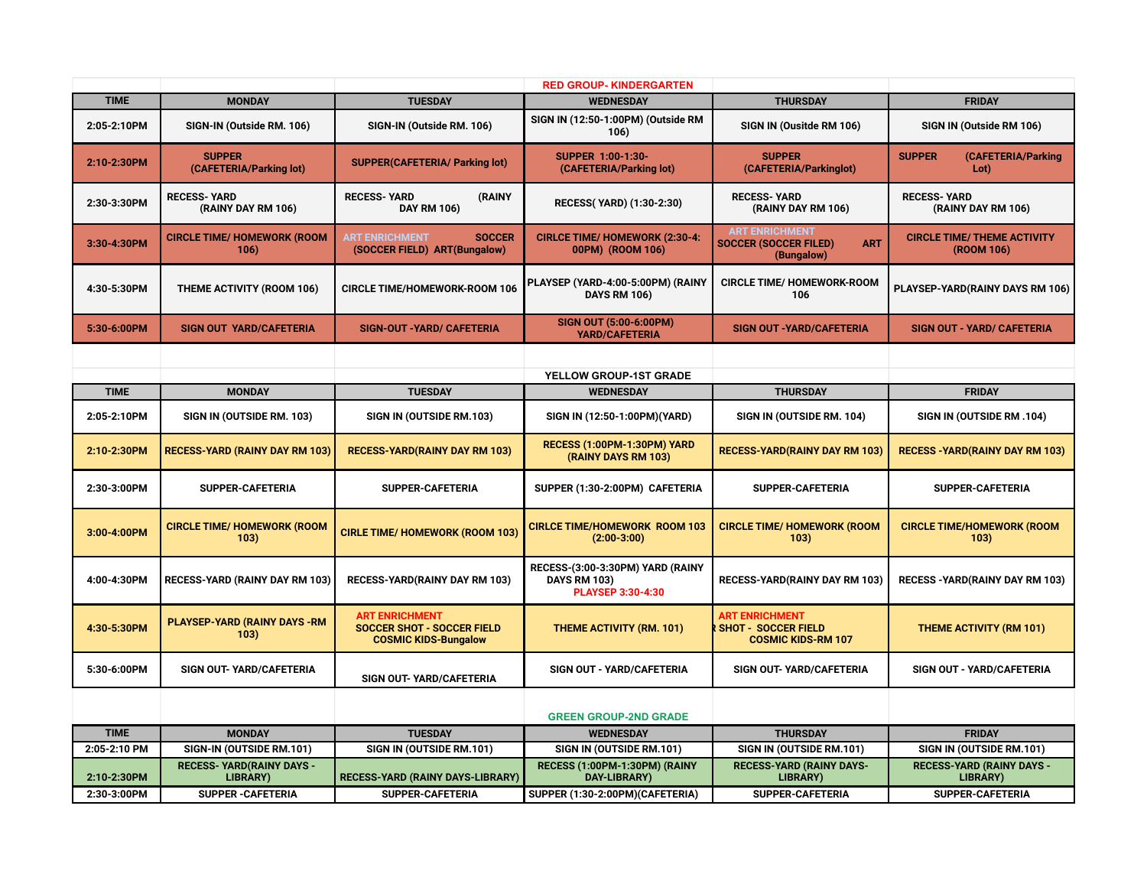|              |                                                      |                                                                                           | <b>RED GROUP-KINDERGARTEN</b>                                                |                                                                                   |                                                  |
|--------------|------------------------------------------------------|-------------------------------------------------------------------------------------------|------------------------------------------------------------------------------|-----------------------------------------------------------------------------------|--------------------------------------------------|
| <b>TIME</b>  | <b>MONDAY</b>                                        | <b>TUESDAY</b>                                                                            | <b>WEDNESDAY</b>                                                             | <b>THURSDAY</b>                                                                   | <b>FRIDAY</b>                                    |
| 2:05-2:10PM  | SIGN-IN (Outside RM. 106)                            | SIGN-IN (Outside RM. 106)                                                                 | SIGN IN (12:50-1:00PM) (Outside RM<br>106)                                   | SIGN IN (Ousitde RM 106)                                                          | SIGN IN (Outside RM 106)                         |
| 2:10-2:30PM  | <b>SUPPER</b><br>(CAFETERIA/Parking lot)             | SUPPER(CAFETERIA/ Parking lot)                                                            | SUPPER 1:00-1:30-<br>(CAFETERIA/Parking lot)                                 | <b>SUPPER</b><br>(CAFETERIA/Parkinglot)                                           | <b>SUPPER</b><br>(CAFETERIA/Parking<br>Lot)      |
| 2:30-3:30PM  | <b>RECESS-YARD</b><br>(RAINY DAY RM 106)             | <b>RECESS-YARD</b><br>(RAINY<br><b>DAY RM 106)</b>                                        | <b>RECESS(YARD) (1:30-2:30)</b>                                              | <b>RECESS-YARD</b><br>(RAINY DAY RM 106)                                          | <b>RECESS- YARD</b><br>(RAINY DAY RM 106)        |
| 3:30-4:30PM  | <b>CIRCLE TIME/ HOMEWORK (ROOM</b><br>106)           | <b>ART ENRICHMENT</b><br><b>SOCCER</b><br>(SOCCER FIELD) ART(Bungalow)                    | <b>CIRLCE TIME/ HOMEWORK (2:30-4:</b><br>00PM) (ROOM 106)                    | <b>ART ENRICHMENT</b><br><b>SOCCER (SOCCER FILED)</b><br><b>ART</b><br>(Bungalow) | <b>CIRCLE TIME/ THEME ACTIVITY</b><br>(ROOM 106) |
| 4:30-5:30PM  | <b>THEME ACTIVITY (ROOM 106)</b>                     | <b>CIRCLE TIME/HOMEWORK-ROOM 106</b>                                                      | PLAYSEP (YARD-4:00-5:00PM) (RAINY<br><b>DAYS RM 106)</b>                     | <b>CIRCLE TIME/ HOMEWORK-ROOM</b><br>106                                          | PLAYSEP-YARD(RAINY DAYS RM 106)                  |
| 5:30-6:00PM  | <b>SIGN OUT YARD/CAFETERIA</b>                       | <b>SIGN-OUT-YARD/ CAFETERIA</b>                                                           | SIGN OUT (5:00-6:00PM)<br><b>YARD/CAFETERIA</b>                              | <b>SIGN OUT - YARD/CAFETERIA</b>                                                  | <b>SIGN OUT - YARD/ CAFETERIA</b>                |
|              |                                                      |                                                                                           |                                                                              |                                                                                   |                                                  |
|              |                                                      |                                                                                           | YELLOW GROUP-1ST GRADE                                                       |                                                                                   |                                                  |
| <b>TIME</b>  | <b>MONDAY</b>                                        | <b>TUESDAY</b>                                                                            | <b>WEDNESDAY</b>                                                             | <b>THURSDAY</b>                                                                   | <b>FRIDAY</b>                                    |
| 2:05-2:10PM  | SIGN IN (OUTSIDE RM. 103)                            | SIGN IN (OUTSIDE RM.103)                                                                  | SIGN IN (12:50-1:00PM)(YARD)                                                 | SIGN IN (OUTSIDE RM. 104)                                                         | SIGN IN (OUTSIDE RM .104)                        |
| 2:10-2:30PM  | <b>RECESS-YARD (RAINY DAY RM 103)</b>                | <b>RECESS-YARD(RAINY DAY RM 103)</b>                                                      | RECESS (1:00PM-1:30PM) YARD<br>(RAINY DAYS RM 103)                           | <b>RECESS-YARD(RAINY DAY RM 103)</b>                                              | <b>RECESS - YARD (RAINY DAY RM 103)</b>          |
| 2:30-3:00PM  | SUPPER-CAFETERIA                                     | <b>SUPPER-CAFETERIA</b>                                                                   | SUPPER (1:30-2:00PM) CAFETERIA                                               | <b>SUPPER-CAFETERIA</b>                                                           | <b>SUPPER-CAFETERIA</b>                          |
| 3:00-4:00PM  | <b>CIRCLE TIME/ HOMEWORK (ROOM</b><br>103)           | <b>CIRLE TIME/ HOMEWORK (ROOM 103)</b>                                                    | <b>CIRLCE TIME/HOMEWORK ROOM 103</b><br>$(2:00-3:00)$                        | <b>CIRCLE TIME/ HOMEWORK (ROOM</b><br>103)                                        | <b>CIRCLE TIME/HOMEWORK (ROOM</b><br>103)        |
| 4:00-4:30PM  | <b>RECESS-YARD (RAINY DAY RM 103)</b>                | <b>RECESS-YARD(RAINY DAY RM 103)</b>                                                      | RECESS-(3:00-3:30PM) YARD (RAINY<br><b>DAYS RM 103)</b><br>PLAYSEP 3:30-4:30 | <b>RECESS-YARD(RAINY DAY RM 103)</b>                                              | <b>RECESS - YARD (RAINY DAY RM 103)</b>          |
| 4:30-5:30PM  | <b>PLAYSEP-YARD (RAINY DAYS -RM</b><br>103)          | <b>ART ENRICHMENT</b><br><b>SOCCER SHOT - SOCCER FIELD</b><br><b>COSMIC KIDS-Bungalow</b> | <b>THEME ACTIVITY (RM. 101)</b>                                              | <b>ART ENRICHMENT</b><br><b>SHOT - SOCCER FIELD</b><br><b>COSMIC KIDS-RM 107</b>  | <b>THEME ACTIVITY (RM 101)</b>                   |
| 5:30-6:00PM  | SIGN OUT- YARD/CAFETERIA                             | SIGN OUT- YARD/CAFETERIA                                                                  | SIGN OUT - YARD/CAFETERIA                                                    | SIGN OUT- YARD/CAFETERIA                                                          | SIGN OUT - YARD/CAFETERIA                        |
|              |                                                      |                                                                                           | <b>GREEN GROUP-2ND GRADE</b>                                                 |                                                                                   |                                                  |
| <b>TIME</b>  | <b>MONDAY</b>                                        | <b>TUESDAY</b>                                                                            | <b>WEDNESDAY</b>                                                             | <b>THURSDAY</b>                                                                   | <b>FRIDAY</b>                                    |
| 2:05-2:10 PM | SIGN-IN (OUTSIDE RM.101)                             | SIGN IN (OUTSIDE RM.101)                                                                  | SIGN IN (OUTSIDE RM.101)                                                     | SIGN IN (OUTSIDE RM.101)                                                          | SIGN IN (OUTSIDE RM.101)                         |
| 2:10-2:30PM  | <b>RECESS- YARD(RAINY DAYS -</b><br><b>LIBRARY</b> ) | RECESS-YARD (RAINY DAYS-LIBRARY)                                                          | RECESS (1:00PM-1:30PM) (RAINY<br>DAY-LIBRARY)                                | <b>RECESS-YARD (RAINY DAYS-</b><br><b>LIBRARY</b> )                               | <b>RECESS-YARD (RAINY DAYS -</b><br>LIBRARY)     |
| 2:30-3:00PM  | <b>SUPPER - CAFETERIA</b>                            | <b>SUPPER-CAFETERIA</b>                                                                   | SUPPER (1:30-2:00PM)(CAFETERIA)                                              | <b>SUPPER-CAFETERIA</b>                                                           | <b>SUPPER-CAFETERIA</b>                          |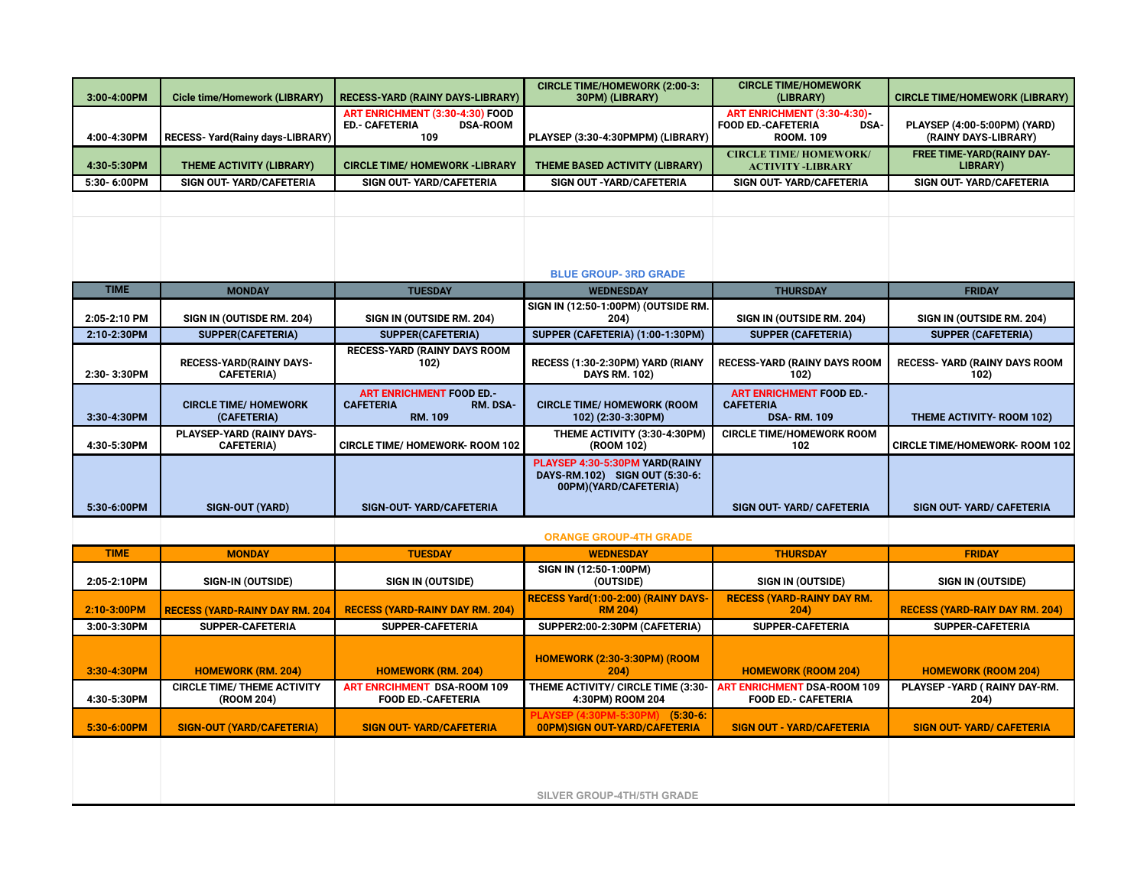| 3:00-4:00PM  | <b>Cicle time/Homework (LIBRARY)</b>                | <b>RECESS-YARD (RAINY DAYS-LIBRARY)</b>                                            | <b>CIRCLE TIME/HOMEWORK (2:00-3:</b><br>30PM) (LIBRARY)                                   | <b>CIRCLE TIME/HOMEWORK</b><br>(LIBRARY)                                                   | <b>CIRCLE TIME/HOMEWORK (LIBRARY)</b>                |  |
|--------------|-----------------------------------------------------|------------------------------------------------------------------------------------|-------------------------------------------------------------------------------------------|--------------------------------------------------------------------------------------------|------------------------------------------------------|--|
| 4:00-4:30PM  | RECESS- Yard(Rainy days-LIBRARY)                    | ART ENRICHMENT (3:30-4:30) FOOD<br><b>ED.- CAFETERIA</b><br><b>DSA-ROOM</b><br>109 | PLAYSEP (3:30-4:30PMPM) (LIBRARY)                                                         | ART ENRICHMENT (3:30-4:30)<br><b>FOOD ED.-CAFETERIA</b><br><b>DSA-</b><br><b>ROOM. 109</b> | PLAYSEP (4:00-5:00PM) (YARD)<br>(RAINY DAYS-LIBRARY) |  |
| 4:30-5:30PM  | <b>THEME ACTIVITY (LIBRARY)</b>                     | <b>CIRCLE TIME/ HOMEWORK -LIBRARY</b>                                              | THEME BASED ACTIVITY (LIBRARY)                                                            | <b>CIRCLE TIME/HOMEWORK/</b><br><b>ACTIVITY -LIBRARY</b>                                   | <b>FREE TIME-YARD(RAINY DAY-</b><br>LIBRARY)         |  |
| 5:30-6:00PM  | SIGN OUT- YARD/CAFETERIA                            | SIGN OUT- YARD/CAFETERIA                                                           | SIGN OUT - YARD/CAFETERIA                                                                 | SIGN OUT- YARD/CAFETERIA                                                                   | SIGN OUT- YARD/CAFETERIA                             |  |
|              |                                                     |                                                                                    | <b>BLUE GROUP-3RD GRADE</b>                                                               |                                                                                            |                                                      |  |
| <b>TIME</b>  | <b>MONDAY</b>                                       | <b>TUESDAY</b>                                                                     | <b>WEDNESDAY</b>                                                                          | <b>THURSDAY</b>                                                                            | <b>FRIDAY</b>                                        |  |
|              |                                                     |                                                                                    | SIGN IN (12:50-1:00PM) (OUTSIDE RM.                                                       |                                                                                            |                                                      |  |
| 2:05-2:10 PM | SIGN IN (OUTISDE RM. 204)                           | SIGN IN (OUTSIDE RM. 204)                                                          | 204)                                                                                      | SIGN IN (OUTSIDE RM. 204)                                                                  | SIGN IN (OUTSIDE RM. 204)                            |  |
| 2:10-2:30PM  | <b>SUPPER(CAFETERIA)</b>                            | <b>SUPPER(CAFETERIA)</b>                                                           | SUPPER (CAFETERIA) (1:00-1:30PM)                                                          | <b>SUPPER (CAFETERIA)</b>                                                                  | <b>SUPPER (CAFETERIA)</b>                            |  |
| 2:30-3:30PM  | <b>RECESS-YARD(RAINY DAYS-</b><br><b>CAFETERIA)</b> | <b>RECESS-YARD (RAINY DAYS ROOM</b><br>102)                                        | RECESS (1:30-2:30PM) YARD (RIANY<br><b>DAYS RM. 102)</b>                                  | <b>RECESS-YARD (RAINY DAYS ROOM</b><br>102)                                                | <b>RECESS- YARD (RAINY DAYS ROOM</b><br>102)         |  |
| 3:30-4:30PM  | <b>CIRCLE TIME/ HOMEWORK</b><br>(CAFETERIA)         | <b>ART ENRICHMENT FOOD ED.-</b><br><b>CAFETERIA</b><br>RM. DSA-<br><b>RM. 109</b>  | <b>CIRCLE TIME/ HOMEWORK (ROOM</b><br>102) (2:30-3:30PM)                                  | <b>ART ENRICHMENT FOOD ED.-</b><br><b>CAFETERIA</b><br><b>DSA-RM. 109</b>                  | <b>THEME ACTIVITY- ROOM 102)</b>                     |  |
| 4:30-5:30PM  | PLAYSEP-YARD (RAINY DAYS-<br><b>CAFETERIA)</b>      | <b>CIRCLE TIME/ HOMEWORK- ROOM 102</b>                                             | THEME ACTIVITY (3:30-4:30PM)<br>(ROOM 102)                                                | <b>CIRCLE TIME/HOMEWORK ROOM</b><br>102                                                    | <b>CIRCLE TIME/HOMEWORK- ROOM 102</b>                |  |
| 5:30-6:00PM  | <b>SIGN-OUT (YARD)</b>                              | <b>SIGN-OUT- YARD/CAFETERIA</b>                                                    | PLAYSEP 4:30-5:30PM YARD(RAINY<br>DAYS-RM.102) SIGN OUT (5:30-6:<br>00PM)(YARD/CAFETERIA) | <b>SIGN OUT- YARD/ CAFETERIA</b>                                                           | <b>SIGN OUT- YARD/ CAFETERIA</b>                     |  |
|              |                                                     | <b>ORANGE GROUP-4TH GRADE</b>                                                      |                                                                                           |                                                                                            |                                                      |  |
| <b>TIME</b>  | <b>MONDAY</b>                                       | <b>TUESDAY</b>                                                                     | <b>WEDNESDAY</b>                                                                          | <b>THURSDAY</b>                                                                            | <b>FRIDAY</b>                                        |  |
| 2:05-2:10PM  | <b>SIGN-IN (OUTSIDE)</b>                            | <b>SIGN IN (OUTSIDE)</b>                                                           | SIGN IN (12:50-1:00PM)<br>(OUTSIDE)                                                       | <b>SIGN IN (OUTSIDE)</b>                                                                   | <b>SIGN IN (OUTSIDE)</b>                             |  |
| 2:10-3:00PM  | RECESS (YARD-RAINY DAY RM. 204                      | <b>RECESS (YARD-RAINY DAY RM. 204)</b>                                             | RECESS Yard(1:00-2:00) (RAINY DAYS-<br><b>RM 204)</b>                                     | <b>RECESS (YARD-RAINY DAY RM.</b><br>204)                                                  | <b>RECESS (YARD-RAIY DAY RM. 204)</b>                |  |
| 3:00-3:30PM  | <b>SUPPER-CAFETERIA</b>                             | <b>SUPPER-CAFETERIA</b>                                                            | SUPPER2:00-2:30PM (CAFETERIA)                                                             | SUPPER-CAFETERIA                                                                           | <b>SUPPER-CAFETERIA</b>                              |  |
| 3:30-4:30PM  | <b>HOMEWORK (RM. 204)</b>                           | <b>HOMEWORK (RM. 204)</b>                                                          | <b>HOMEWORK (2:30-3:30PM) (ROOM</b><br>204)                                               | <b>HOMEWORK (ROOM 204)</b>                                                                 | <b>HOMEWORK (ROOM 204)</b>                           |  |
| 4:30-5:30PM  | <b>CIRCLE TIME/ THEME ACTIVITY</b><br>(ROOM 204)    | <b>ART ENRCIHMENT DSA-ROOM 109</b><br><b>FOOD ED.-CAFETERIA</b>                    | THEME ACTIVITY/ CIRCLE TIME (3:30-<br>4:30PM) ROOM 204                                    | <b>ART ENRICHMENT DSA-ROOM 109</b><br><b>FOOD ED.- CAFETERIA</b>                           | PLAYSEP - YARD ( RAINY DAY-RM.<br>204)               |  |
| 5:30-6:00PM  | <b>SIGN-OUT (YARD/CAFETERIA)</b>                    | <b>SIGN OUT- YARD/CAFETERIA</b>                                                    | PLAYSEP (4:30PM-5:30PM) (5:30-6:<br>00PM)SIGN OUT-YARD/CAFETERIA                          | <b>SIGN OUT - YARD/CAFETERIA</b>                                                           | <b>SIGN OUT- YARD/ CAFETERIA</b>                     |  |
|              |                                                     |                                                                                    | <b>SILVER GROUP-4TH/5TH GRADE</b>                                                         |                                                                                            |                                                      |  |